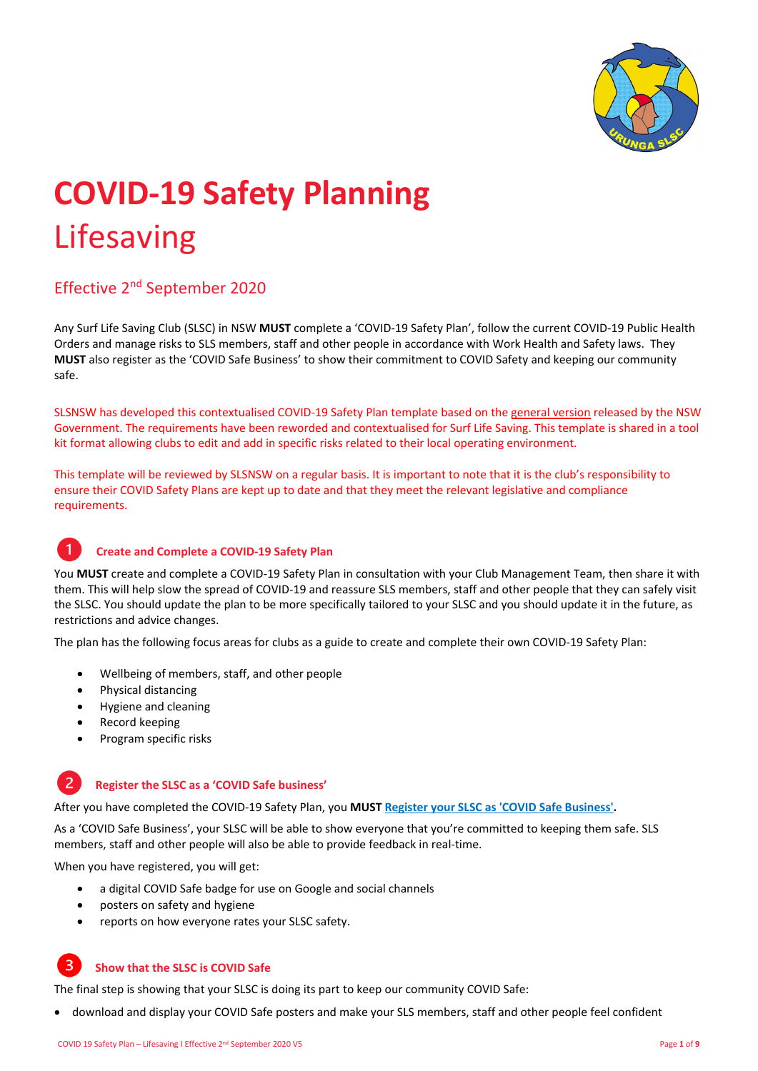

# **COVID‐19 Safety Planning** Lifesaving

# Effective 2nd September 2020

Any Surf Life Saving Club (SLSC) in NSW **MUST** complete a 'COVID‐19 Safety Plan', follow the current COVID‐19 Public Health Orders and manage risks to SLS members, staff and other people in accordance with Work Health and Safety laws. They **MUST** also register as the 'COVID Safe Business' to show their commitment to COVID Safety and keeping our community safe.

SLSNSW has developed this contextualised COVID‐19 Safety Plan template based on the general version released by the NSW Government. The requirements have been reworded and contextualised for Surf Life Saving. This template is shared in a tool kit format allowing clubs to edit and add in specific risks related to their local operating environment.

This template will be reviewed by SLSNSW on a regular basis. It is important to note that it is the club's responsibility to ensure their COVID Safety Plans are kept up to date and that they meet the relevant legislative and compliance requirements.

### **Create and Complete a COVID‐19 Safety Plan**

You MUST create and complete a COVID-19 Safety Plan in consultation with your Club Management Team, then share it with them. This will help slow the spread of COVID-19 and reassure SLS members, staff and other people that they can safely visit the SLSC. You should update the plan to be more specifically tailored to your SLSC and you should update it in the future, as restrictions and advice changes.

The plan has the following focus areas for clubs as a guide to create and complete their own COVID‐19 Safety Plan:

- Wellbeing of members, staff, and other people
- Physical distancing
- Hygiene and cleaning
- Record keeping
- Program specific risks

#### $\overline{2}$ **Register the SLSC as a 'COVID Safe business'**

After you have completed the COVID‐19 Safety Plan, you **MUST Register your SLSC as 'COVID Safe Business'.**

As a 'COVID Safe Business', your SLSC will be able to show everyone that you're committed to keeping them safe. SLS members, staff and other people will also be able to provide feedback in real‐time.

When you have registered, you will get:

- a digital COVID Safe badge for use on Google and social channels
- posters on safety and hygiene
- reports on how everyone rates your SLSC safety.

#### $\overline{3}$ **Show that the SLSC is COVID Safe**

The final step is showing that your SLSC is doing its part to keep our community COVID Safe:

download and display your COVID Safe posters and make your SLS members, staff and other people feel confident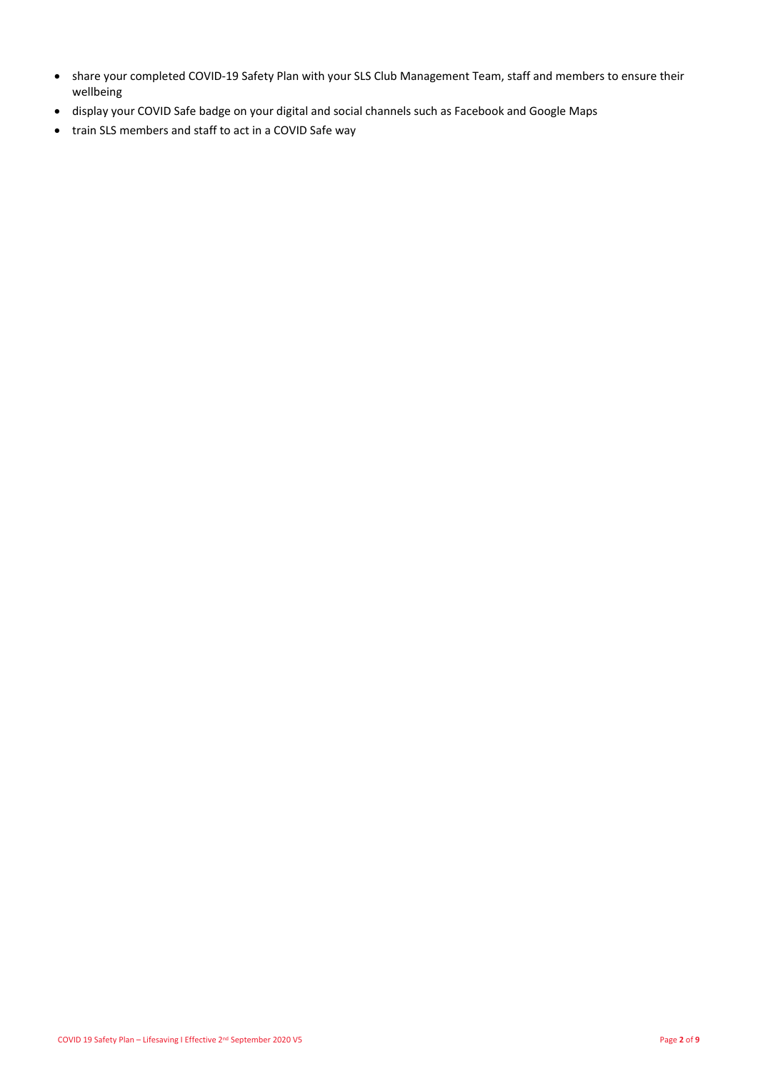- share your completed COVID‐19 Safety Plan with your SLS Club Management Team, staff and members to ensure their wellbeing
- display your COVID Safe badge on your digital and social channels such as Facebook and Google Maps
- train SLS members and staff to act in a COVID Safe way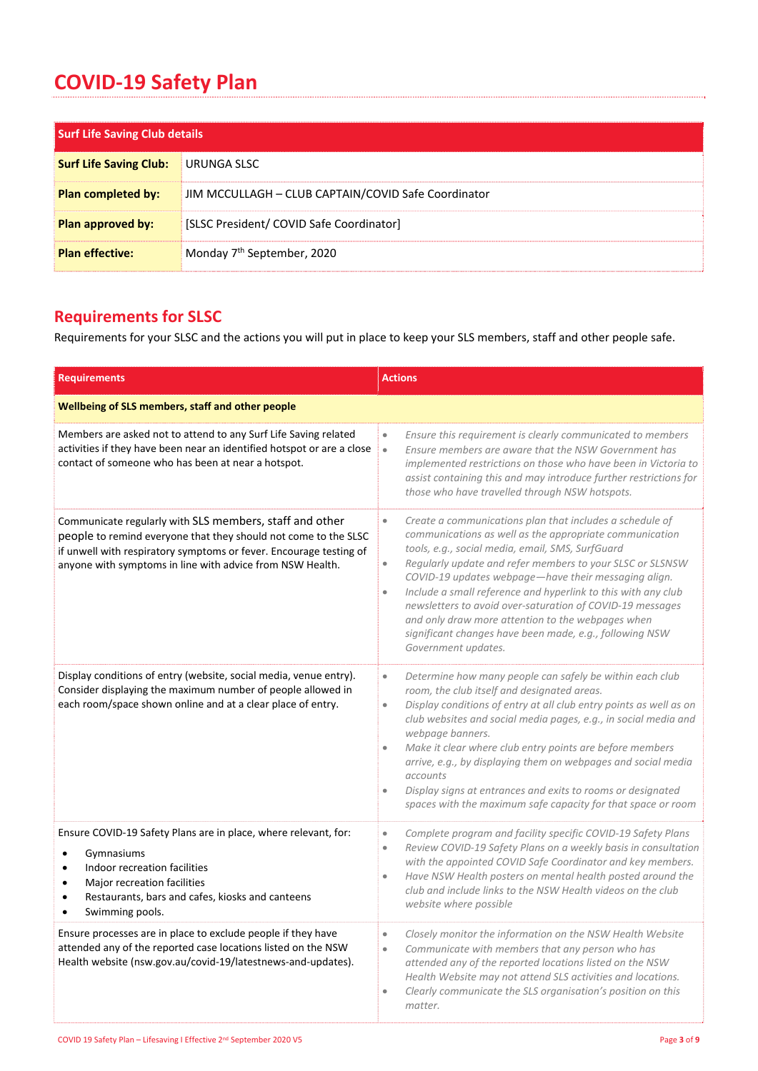# **COVID‐19 Safety Plan**

| <b>Surf Life Saving Club details</b> |                                                     |
|--------------------------------------|-----------------------------------------------------|
| <b>Surf Life Saving Club:</b>        | URUNGA SLSC                                         |
| <b>Plan completed by:</b>            | JIM MCCULLAGH - CLUB CAPTAIN/COVID Safe Coordinator |
| Plan approved by:                    | [SLSC President/ COVID Safe Coordinator]            |
| <b>Plan effective:</b>               | Monday 7 <sup>th</sup> September, 2020              |

# **Requirements for SLSC**

Requirements for your SLSC and the actions you will put in place to keep your SLS members, staff and other people safe.

| <b>Requirements</b>                                                                                                                                                                                                                                                     | <b>Actions</b>                                                                                                                                                                                                                                                                                                                                                                                                                                                                                                                                                                                           |  |
|-------------------------------------------------------------------------------------------------------------------------------------------------------------------------------------------------------------------------------------------------------------------------|----------------------------------------------------------------------------------------------------------------------------------------------------------------------------------------------------------------------------------------------------------------------------------------------------------------------------------------------------------------------------------------------------------------------------------------------------------------------------------------------------------------------------------------------------------------------------------------------------------|--|
| Wellbeing of SLS members, staff and other people                                                                                                                                                                                                                        |                                                                                                                                                                                                                                                                                                                                                                                                                                                                                                                                                                                                          |  |
| Members are asked not to attend to any Surf Life Saving related<br>activities if they have been near an identified hotspot or are a close<br>contact of someone who has been at near a hotspot.                                                                         | Ensure this requirement is clearly communicated to members<br>$\bullet$<br>Ensure members are aware that the NSW Government has<br>$\bullet$<br>implemented restrictions on those who have been in Victoria to<br>assist containing this and may introduce further restrictions for<br>those who have travelled through NSW hotspots.                                                                                                                                                                                                                                                                    |  |
| Communicate regularly with SLS members, staff and other<br>people to remind everyone that they should not come to the SLSC<br>if unwell with respiratory symptoms or fever. Encourage testing of<br>anyone with symptoms in line with advice from NSW Health.           | Create a communications plan that includes a schedule of<br>$\bullet$<br>communications as well as the appropriate communication<br>tools, e.g., social media, email, SMS, SurfGuard<br>Regularly update and refer members to your SLSC or SLSNSW<br>$\bullet$<br>COVID-19 updates webpage-have their messaging align.<br>Include a small reference and hyperlink to this with any club<br>$\bullet$<br>newsletters to avoid over-saturation of COVID-19 messages<br>and only draw more attention to the webpages when<br>significant changes have been made, e.g., following NSW<br>Government updates. |  |
| Display conditions of entry (website, social media, venue entry).<br>Consider displaying the maximum number of people allowed in<br>each room/space shown online and at a clear place of entry.                                                                         | Determine how many people can safely be within each club<br>$\bullet$<br>room, the club itself and designated areas.<br>Display conditions of entry at all club entry points as well as on<br>$\bullet$<br>club websites and social media pages, e.g., in social media and<br>webpage banners.<br>Make it clear where club entry points are before members<br>$\bullet$<br>arrive, e.g., by displaying them on webpages and social media<br>accounts<br>Display signs at entrances and exits to rooms or designated<br>$\bullet$<br>spaces with the maximum safe capacity for that space or room         |  |
| Ensure COVID-19 Safety Plans are in place, where relevant, for:<br>Gymnasiums<br>$\bullet$<br>Indoor recreation facilities<br>$\bullet$<br>Major recreation facilities<br>$\bullet$<br>Restaurants, bars and cafes, kiosks and canteens<br>$\bullet$<br>Swimming pools. | Complete program and facility specific COVID-19 Safety Plans<br>$\bullet$<br>Review COVID-19 Safety Plans on a weekly basis in consultation<br>$\bullet$<br>with the appointed COVID Safe Coordinator and key members.<br>Have NSW Health posters on mental health posted around the<br>$\bullet$<br>club and include links to the NSW Health videos on the club<br>website where possible                                                                                                                                                                                                               |  |
| Ensure processes are in place to exclude people if they have<br>attended any of the reported case locations listed on the NSW<br>Health website (nsw.gov.au/covid-19/latestnews-and-updates).                                                                           | Closely monitor the information on the NSW Health Website<br>$\bullet$<br>Communicate with members that any person who has<br>$\bullet$<br>attended any of the reported locations listed on the NSW<br>Health Website may not attend SLS activities and locations.<br>Clearly communicate the SLS organisation's position on this<br>matter.                                                                                                                                                                                                                                                             |  |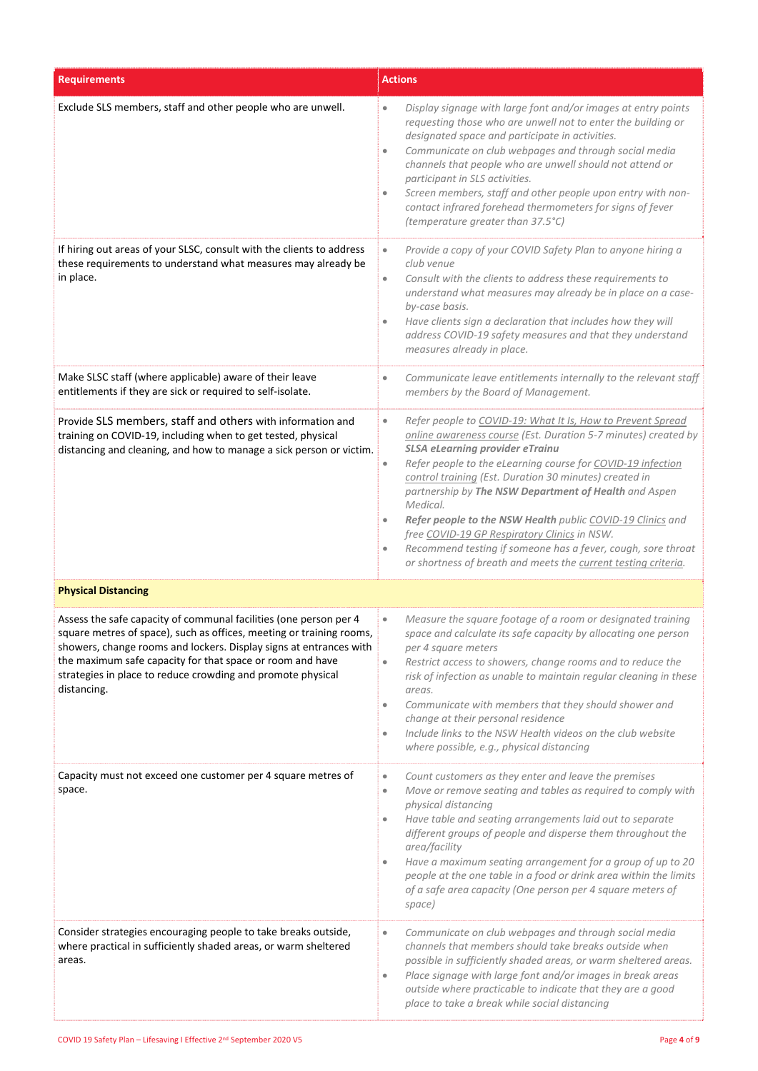| <b>Requirements</b>                                                                                                                                                                                                                                                                                                                                        | <b>Actions</b>                                                                                                                                                                                                                                                                                                                                                                                                                                                                                                                                                                                                                                                            |
|------------------------------------------------------------------------------------------------------------------------------------------------------------------------------------------------------------------------------------------------------------------------------------------------------------------------------------------------------------|---------------------------------------------------------------------------------------------------------------------------------------------------------------------------------------------------------------------------------------------------------------------------------------------------------------------------------------------------------------------------------------------------------------------------------------------------------------------------------------------------------------------------------------------------------------------------------------------------------------------------------------------------------------------------|
| Exclude SLS members, staff and other people who are unwell.                                                                                                                                                                                                                                                                                                | Display signage with large font and/or images at entry points<br>$\bullet$<br>requesting those who are unwell not to enter the building or<br>designated space and participate in activities.<br>Communicate on club webpages and through social media<br>$\bullet$<br>channels that people who are unwell should not attend or<br>participant in SLS activities.<br>Screen members, staff and other people upon entry with non-<br>$\bullet$<br>contact infrared forehead thermometers for signs of fever<br>(temperature greater than 37.5°C)                                                                                                                           |
| If hiring out areas of your SLSC, consult with the clients to address<br>these requirements to understand what measures may already be<br>in place.                                                                                                                                                                                                        | Provide a copy of your COVID Safety Plan to anyone hiring a<br>$\bullet$<br>club venue<br>Consult with the clients to address these requirements to<br>$\bullet$<br>understand what measures may already be in place on a case-<br>by-case basis.<br>Have clients sign a declaration that includes how they will<br>$\bullet$<br>address COVID-19 safety measures and that they understand<br>measures already in place.                                                                                                                                                                                                                                                  |
| Make SLSC staff (where applicable) aware of their leave<br>entitlements if they are sick or required to self-isolate.                                                                                                                                                                                                                                      | Communicate leave entitlements internally to the relevant staff<br>$\bullet$<br>members by the Board of Management.                                                                                                                                                                                                                                                                                                                                                                                                                                                                                                                                                       |
| Provide SLS members, staff and others with information and<br>training on COVID-19, including when to get tested, physical<br>distancing and cleaning, and how to manage a sick person or victim.                                                                                                                                                          | Refer people to COVID-19: What It Is, How to Prevent Spread<br>$\bullet$<br>online awareness course (Est. Duration 5-7 minutes) created by<br><b>SLSA eLearning provider eTrainu</b><br>Refer people to the eLearning course for COVID-19 infection<br>$\bullet$<br>control training (Est. Duration 30 minutes) created in<br>partnership by The NSW Department of Health and Aspen<br>Medical.<br>Refer people to the NSW Health public COVID-19 Clinics and<br>$\bullet$<br>free COVID-19 GP Respiratory Clinics in NSW.<br>Recommend testing if someone has a fever, cough, sore throat<br>$\bullet$<br>or shortness of breath and meets the current testing criteria. |
| <b>Physical Distancing</b>                                                                                                                                                                                                                                                                                                                                 |                                                                                                                                                                                                                                                                                                                                                                                                                                                                                                                                                                                                                                                                           |
| Assess the safe capacity of communal facilities (one person per 4<br>square metres of space), such as offices, meeting or training rooms,<br>showers, change rooms and lockers. Display signs at entrances with<br>the maximum safe capacity for that space or room and have<br>strategies in place to reduce crowding and promote physical<br>distancing. | Measure the square footage of a room or designated training<br>$\bullet$<br>space and calculate its safe capacity by allocating one person<br>per 4 square meters<br>Restrict access to showers, change rooms and to reduce the<br>$\bullet$<br>risk of infection as unable to maintain regular cleaning in these<br>areas.<br>Communicate with members that they should shower and<br>$\bullet$<br>change at their personal residence<br>Include links to the NSW Health videos on the club website<br>$\bullet$<br>where possible, e.g., physical distancing                                                                                                            |
| Capacity must not exceed one customer per 4 square metres of<br>space.                                                                                                                                                                                                                                                                                     | Count customers as they enter and leave the premises<br>$\bullet$<br>Move or remove seating and tables as required to comply with<br>$\bullet$<br>physical distancing<br>Have table and seating arrangements laid out to separate<br>$\bullet$<br>different groups of people and disperse them throughout the<br>area/facility<br>Have a maximum seating arrangement for a group of up to 20<br>$\bullet$<br>people at the one table in a food or drink area within the limits<br>of a safe area capacity (One person per 4 square meters of<br>space)                                                                                                                    |
| Consider strategies encouraging people to take breaks outside,<br>where practical in sufficiently shaded areas, or warm sheltered<br>areas.                                                                                                                                                                                                                | Communicate on club webpages and through social media<br>$\bullet$<br>channels that members should take breaks outside when<br>possible in sufficiently shaded areas, or warm sheltered areas.<br>Place signage with large font and/or images in break areas<br>$\bullet$<br>outside where practicable to indicate that they are a good<br>place to take a break while social distancing                                                                                                                                                                                                                                                                                  |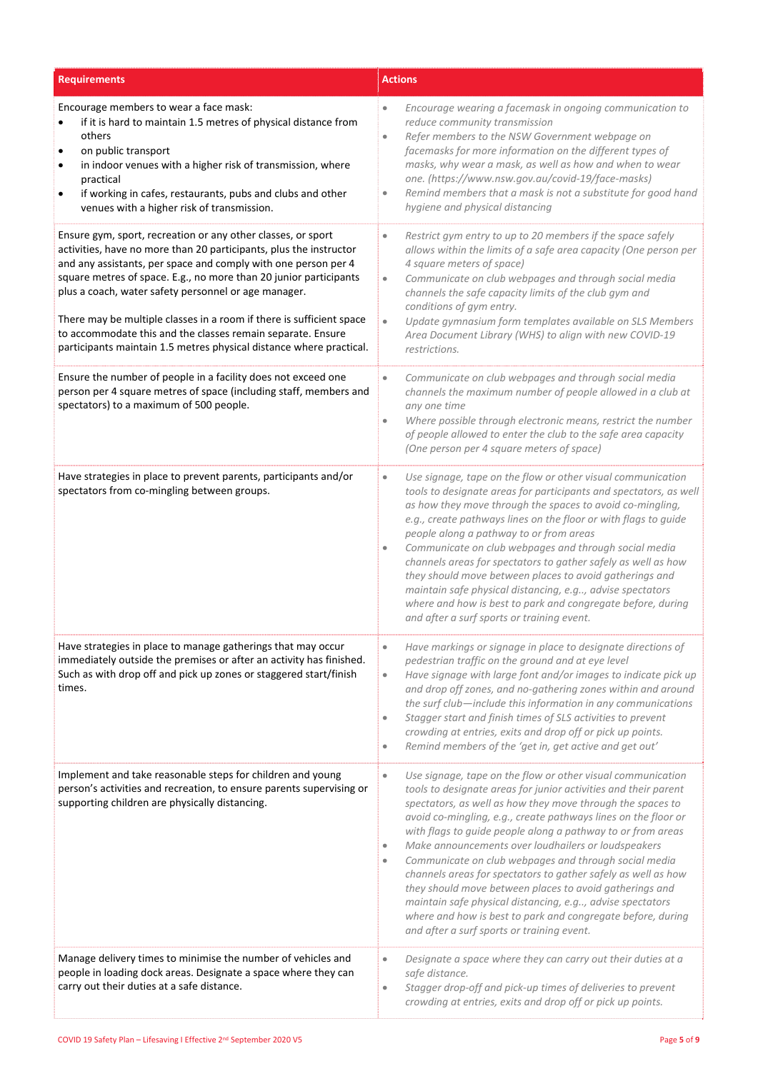| <b>Requirements</b>                                                                                                                                                                                                                                                                                                                                                                                                                                                                                                                             | <b>Actions</b>                                                                                                                                                                                                                                                                                                                                                                                                                                                                                                                                                                                                                                                                                                                                                                             |  |
|-------------------------------------------------------------------------------------------------------------------------------------------------------------------------------------------------------------------------------------------------------------------------------------------------------------------------------------------------------------------------------------------------------------------------------------------------------------------------------------------------------------------------------------------------|--------------------------------------------------------------------------------------------------------------------------------------------------------------------------------------------------------------------------------------------------------------------------------------------------------------------------------------------------------------------------------------------------------------------------------------------------------------------------------------------------------------------------------------------------------------------------------------------------------------------------------------------------------------------------------------------------------------------------------------------------------------------------------------------|--|
| Encourage members to wear a face mask:<br>if it is hard to maintain 1.5 metres of physical distance from<br>others<br>on public transport<br>in indoor venues with a higher risk of transmission, where<br>practical<br>if working in cafes, restaurants, pubs and clubs and other<br>venues with a higher risk of transmission.                                                                                                                                                                                                                | Encourage wearing a facemask in ongoing communication to<br>$\bullet$<br>reduce community transmission<br>Refer members to the NSW Government webpage on<br>$\bullet$<br>facemasks for more information on the different types of<br>masks, why wear a mask, as well as how and when to wear<br>one. (https://www.nsw.gov.au/covid-19/face-masks)<br>Remind members that a mask is not a substitute for good hand<br>$\bullet$<br>hygiene and physical distancing                                                                                                                                                                                                                                                                                                                          |  |
| Ensure gym, sport, recreation or any other classes, or sport<br>activities, have no more than 20 participants, plus the instructor<br>and any assistants, per space and comply with one person per 4<br>square metres of space. E.g., no more than 20 junior participants<br>plus a coach, water safety personnel or age manager.<br>There may be multiple classes in a room if there is sufficient space<br>to accommodate this and the classes remain separate. Ensure<br>participants maintain 1.5 metres physical distance where practical. | Restrict gym entry to up to 20 members if the space safely<br>$\bullet$<br>allows within the limits of a safe area capacity (One person per<br>4 square meters of space)<br>Communicate on club webpages and through social media<br>$\bullet$<br>channels the safe capacity limits of the club gym and<br>conditions of gym entry.<br>Update gymnasium form templates available on SLS Members<br>$\bullet$<br>Area Document Library (WHS) to align with new COVID-19<br>restrictions.                                                                                                                                                                                                                                                                                                    |  |
| Ensure the number of people in a facility does not exceed one<br>person per 4 square metres of space (including staff, members and<br>spectators) to a maximum of 500 people.                                                                                                                                                                                                                                                                                                                                                                   | Communicate on club webpages and through social media<br>$\bullet$<br>channels the maximum number of people allowed in a club at<br>any one time<br>Where possible through electronic means, restrict the number<br>$\bullet$<br>of people allowed to enter the club to the safe area capacity<br>(One person per 4 square meters of space)                                                                                                                                                                                                                                                                                                                                                                                                                                                |  |
| Have strategies in place to prevent parents, participants and/or<br>spectators from co-mingling between groups.                                                                                                                                                                                                                                                                                                                                                                                                                                 | Use signage, tape on the flow or other visual communication<br>$\qquad \qquad \bullet$<br>tools to designate areas for participants and spectators, as well<br>as how they move through the spaces to avoid co-mingling,<br>e.g., create pathways lines on the floor or with flags to guide<br>people along a pathway to or from areas<br>Communicate on club webpages and through social media<br>channels areas for spectators to gather safely as well as how<br>they should move between places to avoid gatherings and<br>maintain safe physical distancing, e.g, advise spectators<br>where and how is best to park and congregate before, during<br>and after a surf sports or training event.                                                                                      |  |
| Have strategies in place to manage gatherings that may occur<br>immediately outside the premises or after an activity has finished.<br>Such as with drop off and pick up zones or staggered start/finish<br>times.                                                                                                                                                                                                                                                                                                                              | Have markings or signage in place to designate directions of<br>$\bullet$<br>pedestrian traffic on the ground and at eye level<br>Have signage with large font and/or images to indicate pick up<br>$\bullet$<br>and drop off zones, and no-gathering zones within and around<br>the surf club-include this information in any communications<br>Stagger start and finish times of SLS activities to prevent<br>$\bullet$<br>crowding at entries, exits and drop off or pick up points.<br>Remind members of the 'get in, get active and get out'<br>$\bullet$                                                                                                                                                                                                                             |  |
| Implement and take reasonable steps for children and young<br>person's activities and recreation, to ensure parents supervising or<br>supporting children are physically distancing.                                                                                                                                                                                                                                                                                                                                                            | Use signage, tape on the flow or other visual communication<br>$\bullet$<br>tools to designate areas for junior activities and their parent<br>spectators, as well as how they move through the spaces to<br>avoid co-mingling, e.g., create pathways lines on the floor or<br>with flags to guide people along a pathway to or from areas<br>Make announcements over loudhailers or loudspeakers<br>$\bullet$<br>Communicate on club webpages and through social media<br>$\bullet$<br>channels areas for spectators to gather safely as well as how<br>they should move between places to avoid gatherings and<br>maintain safe physical distancing, e.g, advise spectators<br>where and how is best to park and congregate before, during<br>and after a surf sports or training event. |  |
| Manage delivery times to minimise the number of vehicles and<br>people in loading dock areas. Designate a space where they can<br>carry out their duties at a safe distance.                                                                                                                                                                                                                                                                                                                                                                    | Designate a space where they can carry out their duties at a<br>$\bullet$<br>safe distance.<br>Stagger drop-off and pick-up times of deliveries to prevent<br>$\bullet$<br>crowding at entries, exits and drop off or pick up points.                                                                                                                                                                                                                                                                                                                                                                                                                                                                                                                                                      |  |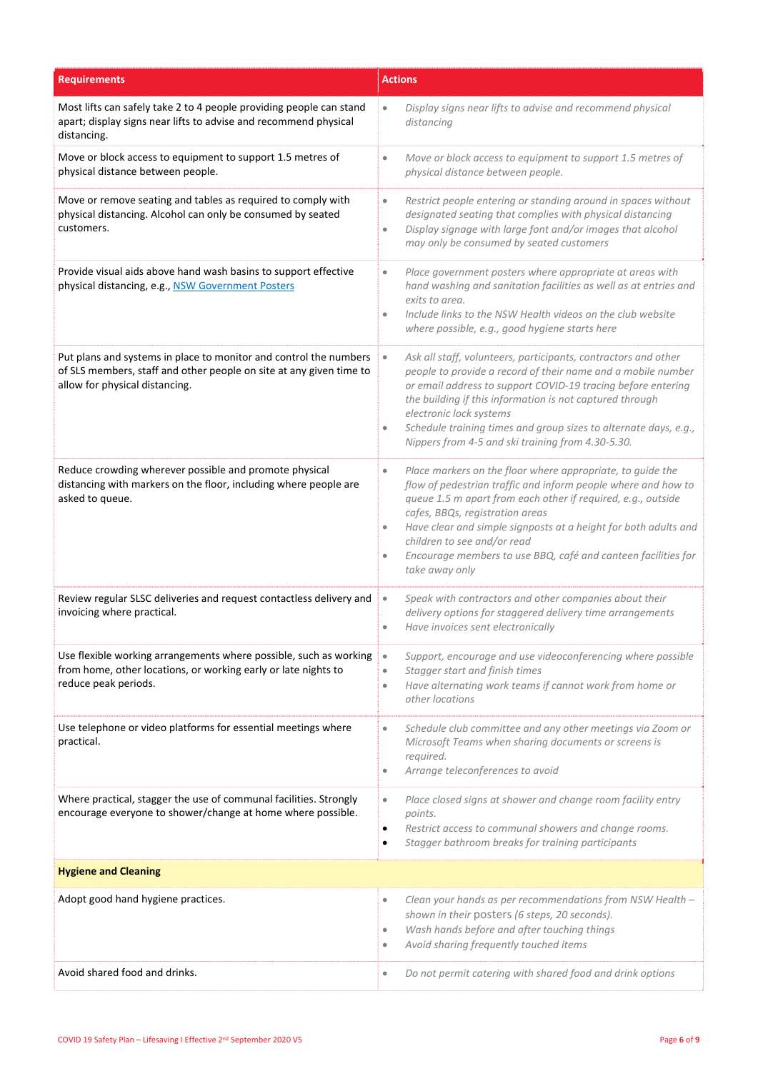| <b>Requirements</b>                                                                                                                                                        | <b>Actions</b>                                                                                                                                                                                                                                                                                                                                                                                                                                     |  |
|----------------------------------------------------------------------------------------------------------------------------------------------------------------------------|----------------------------------------------------------------------------------------------------------------------------------------------------------------------------------------------------------------------------------------------------------------------------------------------------------------------------------------------------------------------------------------------------------------------------------------------------|--|
| Most lifts can safely take 2 to 4 people providing people can stand<br>apart; display signs near lifts to advise and recommend physical<br>distancing.                     | Display signs near lifts to advise and recommend physical<br>$\bullet$<br>distancing                                                                                                                                                                                                                                                                                                                                                               |  |
| Move or block access to equipment to support 1.5 metres of<br>physical distance between people.                                                                            | Move or block access to equipment to support 1.5 metres of<br>$\bullet$<br>physical distance between people.                                                                                                                                                                                                                                                                                                                                       |  |
| Move or remove seating and tables as required to comply with<br>physical distancing. Alcohol can only be consumed by seated<br>customers.                                  | Restrict people entering or standing around in spaces without<br>$\bullet$<br>designated seating that complies with physical distancing<br>Display signage with large font and/or images that alcohol<br>$\bullet$<br>may only be consumed by seated customers                                                                                                                                                                                     |  |
| Provide visual aids above hand wash basins to support effective<br>physical distancing, e.g., NSW Government Posters                                                       | Place government posters where appropriate at areas with<br>$\bullet$<br>hand washing and sanitation facilities as well as at entries and<br>exits to area.<br>Include links to the NSW Health videos on the club website<br>$\bullet$<br>where possible, e.g., good hygiene starts here                                                                                                                                                           |  |
| Put plans and systems in place to monitor and control the numbers<br>of SLS members, staff and other people on site at any given time to<br>allow for physical distancing. | Ask all staff, volunteers, participants, contractors and other<br>$\bullet$<br>people to provide a record of their name and a mobile number<br>or email address to support COVID-19 tracing before entering<br>the building if this information is not captured through<br>electronic lock systems<br>Schedule training times and group sizes to alternate days, e.g.,<br>$\bullet$<br>Nippers from 4-5 and ski training from 4.30-5.30.           |  |
| Reduce crowding wherever possible and promote physical<br>distancing with markers on the floor, including where people are<br>asked to queue.                              | Place markers on the floor where appropriate, to guide the<br>$\bullet$<br>flow of pedestrian traffic and inform people where and how to<br>queue 1.5 m apart from each other if required, e.g., outside<br>cafes, BBQs, registration areas<br>Have clear and simple signposts at a height for both adults and<br>۰<br>children to see and/or read<br>Encourage members to use BBQ, café and canteen facilities for<br>$\bullet$<br>take away only |  |
| Review regular SLSC deliveries and request contactless delivery and<br>invoicing where practical.                                                                          | Speak with contractors and other companies about their<br>$\bullet$<br>delivery options for staggered delivery time arrangements<br>Have invoices sent electronically<br>$\bullet$                                                                                                                                                                                                                                                                 |  |
| Use flexible working arrangements where possible, such as working<br>from home, other locations, or working early or late nights to<br>reduce peak periods.                | Support, encourage and use videoconferencing where possible<br>$\bullet$<br>Stagger start and finish times<br>$\bullet$<br>Have alternating work teams if cannot work from home or<br>$\bullet$<br>other locations                                                                                                                                                                                                                                 |  |
| Use telephone or video platforms for essential meetings where<br>practical.                                                                                                | Schedule club committee and any other meetings via Zoom or<br>$\bullet$<br>Microsoft Teams when sharing documents or screens is<br>required.<br>Arrange teleconferences to avoid<br>$\bullet$                                                                                                                                                                                                                                                      |  |
| Where practical, stagger the use of communal facilities. Strongly<br>encourage everyone to shower/change at home where possible.                                           | Place closed signs at shower and change room facility entry<br>$\bullet$<br>points.<br>Restrict access to communal showers and change rooms.<br>$\bullet$<br>Stagger bathroom breaks for training participants<br>٠                                                                                                                                                                                                                                |  |
| <b>Hygiene and Cleaning</b>                                                                                                                                                |                                                                                                                                                                                                                                                                                                                                                                                                                                                    |  |
| Adopt good hand hygiene practices.                                                                                                                                         | Clean your hands as per recommendations from NSW Health -<br>$\bullet$<br>shown in their posters (6 steps, 20 seconds).<br>Wash hands before and after touching things<br>$\bullet$<br>Avoid sharing frequently touched items<br>$\bullet$                                                                                                                                                                                                         |  |
| Avoid shared food and drinks.                                                                                                                                              | Do not permit catering with shared food and drink options<br>$\bullet$                                                                                                                                                                                                                                                                                                                                                                             |  |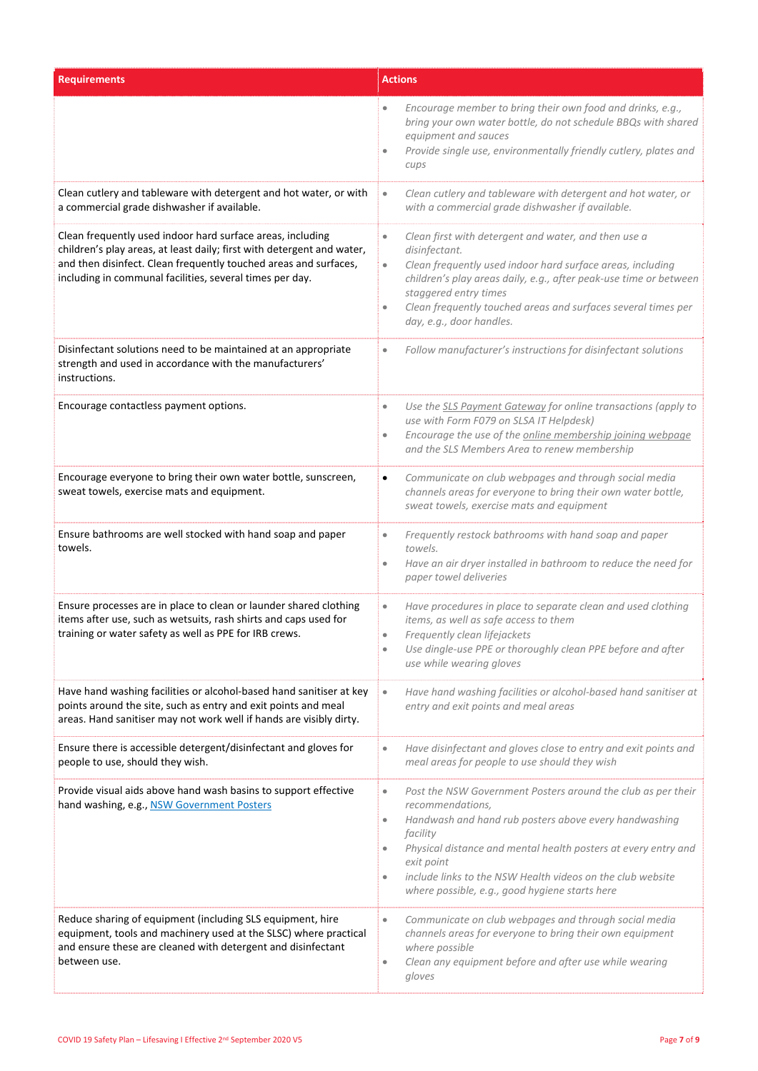| <b>Requirements</b>                                                                                                                                                                                                                                                  | <b>Actions</b>                                                                                                                                                                                                                                                                                                                                                                                    |  |
|----------------------------------------------------------------------------------------------------------------------------------------------------------------------------------------------------------------------------------------------------------------------|---------------------------------------------------------------------------------------------------------------------------------------------------------------------------------------------------------------------------------------------------------------------------------------------------------------------------------------------------------------------------------------------------|--|
|                                                                                                                                                                                                                                                                      | Encourage member to bring their own food and drinks, e.g.,<br>bring your own water bottle, do not schedule BBQs with shared<br>equipment and sauces<br>Provide single use, environmentally friendly cutlery, plates and<br>۰<br>cups                                                                                                                                                              |  |
| Clean cutlery and tableware with detergent and hot water, or with<br>a commercial grade dishwasher if available.                                                                                                                                                     | Clean cutlery and tableware with detergent and hot water, or<br>$\bullet$<br>with a commercial grade dishwasher if available.                                                                                                                                                                                                                                                                     |  |
| Clean frequently used indoor hard surface areas, including<br>children's play areas, at least daily; first with detergent and water,<br>and then disinfect. Clean frequently touched areas and surfaces,<br>including in communal facilities, several times per day. | Clean first with detergent and water, and then use a<br>$\bullet$<br>disinfectant.<br>Clean frequently used indoor hard surface areas, including<br>$\bullet$<br>children's play areas daily, e.g., after peak-use time or between<br>staggered entry times<br>Clean frequently touched areas and surfaces several times per<br>$\bullet$<br>day, e.g., door handles.                             |  |
| Disinfectant solutions need to be maintained at an appropriate<br>strength and used in accordance with the manufacturers'<br>instructions.                                                                                                                           | Follow manufacturer's instructions for disinfectant solutions<br>$\bullet$                                                                                                                                                                                                                                                                                                                        |  |
| Encourage contactless payment options.                                                                                                                                                                                                                               | Use the SLS Payment Gateway for online transactions (apply to<br>$\bullet$<br>use with Form F079 on SLSA IT Helpdesk)<br>Encourage the use of the online membership joining webpage<br>$\bullet$<br>and the SLS Members Area to renew membership                                                                                                                                                  |  |
| Encourage everyone to bring their own water bottle, sunscreen,<br>sweat towels, exercise mats and equipment.                                                                                                                                                         | Communicate on club webpages and through social media<br>$\bullet$<br>channels areas for everyone to bring their own water bottle,<br>sweat towels, exercise mats and equipment                                                                                                                                                                                                                   |  |
| Ensure bathrooms are well stocked with hand soap and paper<br>towels.                                                                                                                                                                                                | Frequently restock bathrooms with hand soap and paper<br>$\bullet$<br>towels.<br>Have an air dryer installed in bathroom to reduce the need for<br>$\bullet$<br>paper towel deliveries                                                                                                                                                                                                            |  |
| Ensure processes are in place to clean or launder shared clothing<br>items after use, such as wetsuits, rash shirts and caps used for<br>training or water safety as well as PPE for IRB crews.                                                                      | Have procedures in place to separate clean and used clothing<br>$\bullet$<br>items, as well as safe access to them<br>Frequently clean lifejackets<br>$\bullet$<br>Use dingle-use PPE or thoroughly clean PPE before and after<br>use while wearing gloves                                                                                                                                        |  |
| Have hand washing facilities or alcohol-based hand sanitiser at key<br>points around the site, such as entry and exit points and meal<br>areas. Hand sanitiser may not work well if hands are visibly dirty.                                                         | Have hand washing facilities or alcohol-based hand sanitiser at<br>$\bullet$<br>entry and exit points and meal areas                                                                                                                                                                                                                                                                              |  |
| Ensure there is accessible detergent/disinfectant and gloves for<br>people to use, should they wish.                                                                                                                                                                 | Have disinfectant and gloves close to entry and exit points and<br>$\bullet$<br>meal areas for people to use should they wish                                                                                                                                                                                                                                                                     |  |
| Provide visual aids above hand wash basins to support effective<br>hand washing, e.g., NSW Government Posters                                                                                                                                                        | Post the NSW Government Posters around the club as per their<br>$\bullet$<br>recommendations,<br>Handwash and hand rub posters above every handwashing<br>۰<br>facility<br>Physical distance and mental health posters at every entry and<br>$\bullet$<br>exit point<br>include links to the NSW Health videos on the club website<br>$\bullet$<br>where possible, e.g., good hygiene starts here |  |
| Reduce sharing of equipment (including SLS equipment, hire<br>equipment, tools and machinery used at the SLSC) where practical<br>and ensure these are cleaned with detergent and disinfectant<br>between use.                                                       | Communicate on club webpages and through social media<br>$\bullet$<br>channels areas for everyone to bring their own equipment<br>where possible<br>Clean any equipment before and after use while wearing<br>$\bullet$<br>gloves                                                                                                                                                                 |  |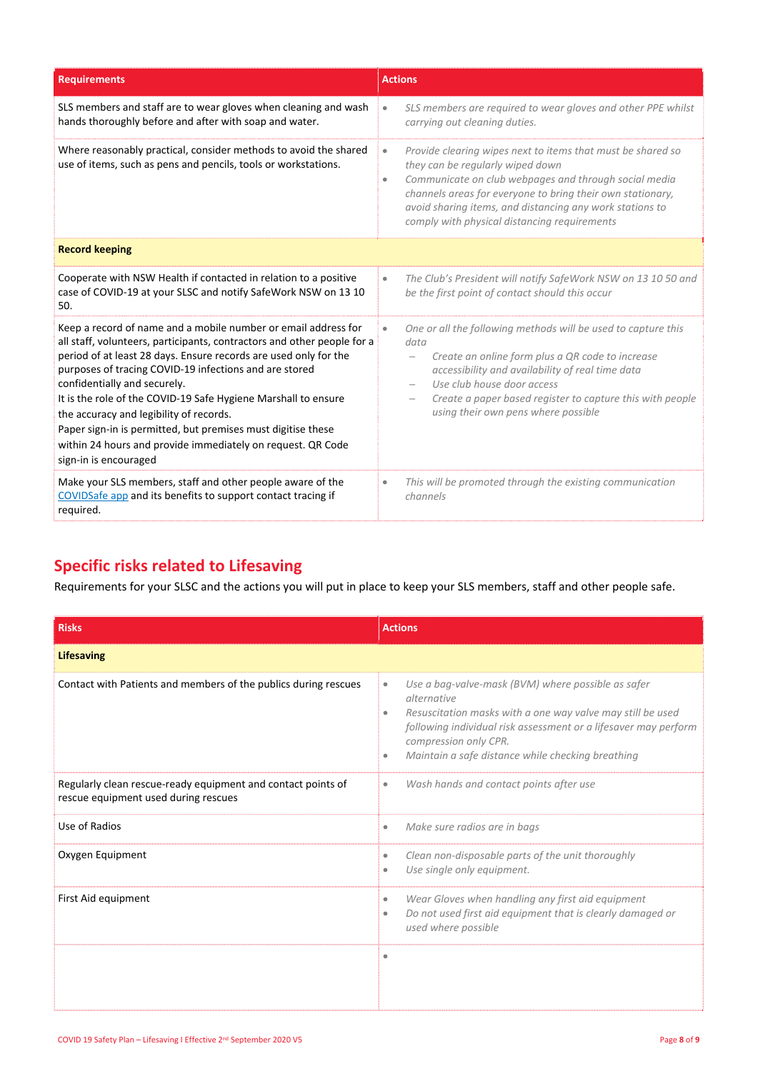| <b>Requirements</b>                                                                                                                                                                                                                                                                                                                                                                                                                                                                                                                                                          | <b>Actions</b>                                                                                                                                                                                                                                                                                                                                               |
|------------------------------------------------------------------------------------------------------------------------------------------------------------------------------------------------------------------------------------------------------------------------------------------------------------------------------------------------------------------------------------------------------------------------------------------------------------------------------------------------------------------------------------------------------------------------------|--------------------------------------------------------------------------------------------------------------------------------------------------------------------------------------------------------------------------------------------------------------------------------------------------------------------------------------------------------------|
| SLS members and staff are to wear gloves when cleaning and wash<br>hands thoroughly before and after with soap and water.                                                                                                                                                                                                                                                                                                                                                                                                                                                    | SLS members are required to wear gloves and other PPE whilst<br>carrying out cleaning duties.                                                                                                                                                                                                                                                                |
| Where reasonably practical, consider methods to avoid the shared<br>use of items, such as pens and pencils, tools or workstations.                                                                                                                                                                                                                                                                                                                                                                                                                                           | Provide clearing wipes next to items that must be shared so<br>$\bullet$<br>they can be regularly wiped down<br>Communicate on club webpages and through social media<br>$\bullet$<br>channels areas for everyone to bring their own stationary,<br>avoid sharing items, and distancing any work stations to<br>comply with physical distancing requirements |
| <b>Record keeping</b>                                                                                                                                                                                                                                                                                                                                                                                                                                                                                                                                                        |                                                                                                                                                                                                                                                                                                                                                              |
| Cooperate with NSW Health if contacted in relation to a positive<br>case of COVID-19 at your SLSC and notify SafeWork NSW on 13 10<br>50.                                                                                                                                                                                                                                                                                                                                                                                                                                    | The Club's President will notify SafeWork NSW on 13 10 50 and<br>$\bullet$<br>be the first point of contact should this occur                                                                                                                                                                                                                                |
| Keep a record of name and a mobile number or email address for<br>all staff, volunteers, participants, contractors and other people for a<br>period of at least 28 days. Ensure records are used only for the<br>purposes of tracing COVID-19 infections and are stored<br>confidentially and securely.<br>It is the role of the COVID-19 Safe Hygiene Marshall to ensure<br>the accuracy and legibility of records.<br>Paper sign-in is permitted, but premises must digitise these<br>within 24 hours and provide immediately on request. QR Code<br>sign-in is encouraged | One or all the following methods will be used to capture this<br>$\bullet$<br>data<br>Create an online form plus a QR code to increase<br>accessibility and availability of real time data<br>Use club house door access<br>Create a paper based register to capture this with people<br>$\qquad \qquad -$<br>using their own pens where possible            |
| Make your SLS members, staff and other people aware of the<br>COVIDSafe app and its benefits to support contact tracing if<br>required.                                                                                                                                                                                                                                                                                                                                                                                                                                      | This will be promoted through the existing communication<br>channels                                                                                                                                                                                                                                                                                         |

# **Specific risks related to Lifesaving**

Requirements for your SLSC and the actions you will put in place to keep your SLS members, staff and other people safe.

| <b>Risks</b>                                                                                         | <b>Actions</b>                                                                                                                                                                                                                                                                                                  |
|------------------------------------------------------------------------------------------------------|-----------------------------------------------------------------------------------------------------------------------------------------------------------------------------------------------------------------------------------------------------------------------------------------------------------------|
| <b>Lifesaving</b>                                                                                    |                                                                                                                                                                                                                                                                                                                 |
| Contact with Patients and members of the publics during rescues                                      | Use a bag-valve-mask (BVM) where possible as safer<br>$\bullet$<br>alternative<br>Resuscitation masks with a one way valve may still be used<br>$\bullet$<br>following individual risk assessment or a lifesaver may perform<br>compression only CPR.<br>Maintain a safe distance while checking breathing<br>۰ |
| Regularly clean rescue-ready equipment and contact points of<br>rescue equipment used during rescues | Wash hands and contact points after use<br>$\bullet$                                                                                                                                                                                                                                                            |
| Use of Radios                                                                                        | Make sure radios are in bags<br>$\bullet$                                                                                                                                                                                                                                                                       |
| Oxygen Equipment                                                                                     | Clean non-disposable parts of the unit thoroughly<br>$\bullet$<br>Use single only equipment.<br>۰                                                                                                                                                                                                               |
| First Aid equipment                                                                                  | Wear Gloves when handling any first aid equipment<br>$\bullet$<br>Do not used first aid equipment that is clearly damaged or<br>$\bullet$<br>used where possible                                                                                                                                                |
|                                                                                                      | ۰                                                                                                                                                                                                                                                                                                               |